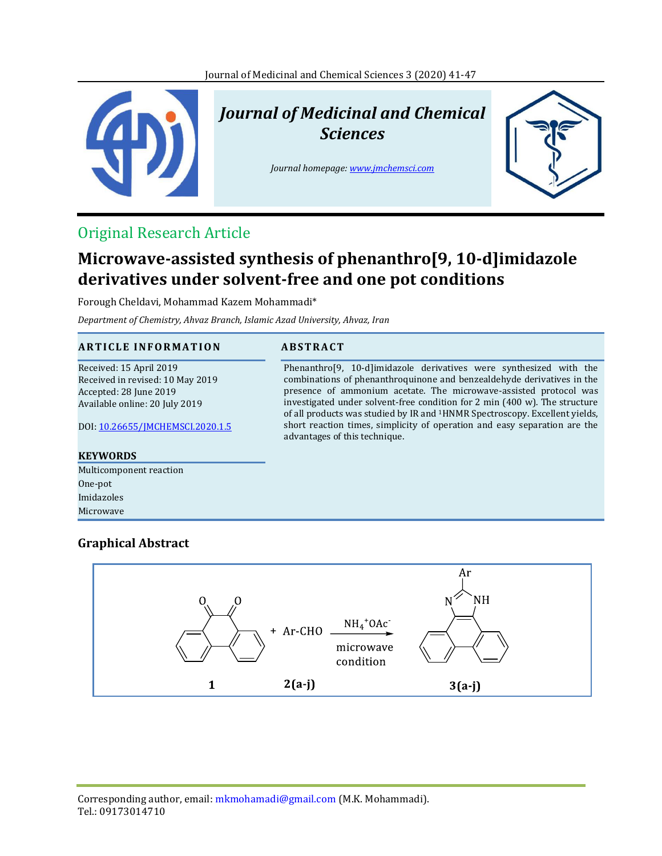

# *Journal of Medicinal and Chemical Sciences*

*Journal homepage[: www.jmchemsci.com](file:///C:/Users/User/Desktop/سجادی/jmcs/JMCS-1812-1056/www.jmchemsci.com)*

Phenanthro[9, 10-d]imidazole derivatives were synthesized with the combinations of phenanthroquinone and benzealdehyde derivatives in the presence of ammonium acetate. The microwave-assisted protocol was investigated under solvent-free condition for 2 min (400 w). The structure of all products was studied by IR and 1HNMR Spectroscopy. Excellent yields, short reaction times, simplicity of operation and easy separation are the



# Original Research Article

# **Microwave-assisted synthesis of phenanthro[9, 10-d]imidazole derivatives under solvent-free and one pot conditions**

Forough Cheldavi, Mohammad Kazem Mohammadi\*

*Department of Chemistry, Ahvaz Branch, Islamic Azad University, Ahvaz, Iran*

### **A R T I C L E I N F O R M A T I O N A B S T R A C T**

Received: 15 April 2019 Received in revised: 10 May 2019 Accepted: 28 June 2019 Available online: 20 July 2019

DOI: [10.26655/JMCHEMSCI.2020.1.5](http://www.jmchemsci.com/article_89754.html)

#### **KEYWORDS**

Multicomponent reaction One-pot Imidazoles Microwave

# **Graphical Abstract**



advantages of this technique.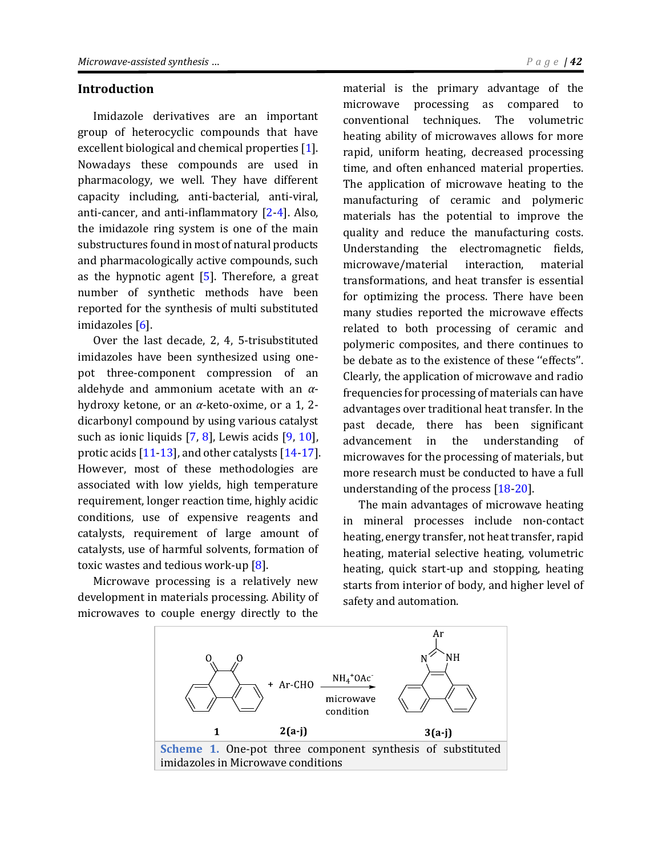### **Introduction**

Imidazole derivatives are an important group of heterocyclic compounds that have excellent biological and chemical properties [\[1\]](#page-5-0). Nowadays these compounds are used in pharmacology, we well. They have different capacity including, anti-bacterial, anti-viral, anti-cancer, and anti-inflammatory [\[2-](#page-1-0)[4\]](#page-6-0). Also, the imidazole ring system is one of the main substructures found in most of natural products and pharmacologically active compounds, such as the hypnotic agent  $[5]$ . Therefore, a great number of synthetic methods have been reported for the synthesis of multi substituted imidazoles [\[6\]](#page-6-2).

Over the last decade, 2, 4, 5-trisubstituted imidazoles have been synthesized using onepot three-component compression of an aldehyde and ammonium acetate with an *α*hydroxy ketone, or an *α*-keto-oxime, or a 1, 2 dicarbonyl compound by using various catalyst such as ionic liquids [\[7,](#page-6-3) [8\]](#page-6-4), Lewis acids [\[9,](#page-6-5) [10\]](#page-6-6), protic acids [\[11-](#page-6-7)[13\]](#page-6-8), and other catalysts [\[14](#page-6-9)[-17\]](#page-6-10). However, most of these methodologies are associated with low yields, high temperature requirement, longer reaction time, highly acidic conditions, use of expensive reagents and catalysts, requirement of large amount of catalysts, use of harmful solvents, formation of toxic wastes and tedious work-up [\[8\]](#page-6-4).

Microwave processing is a relatively new development in materials processing. Ability of microwaves to couple energy directly to the

<span id="page-1-0"></span>material is the primary advantage of the microwave processing as compared to conventional techniques. The volumetric heating ability of microwaves allows for more rapid, uniform heating, decreased processing time, and often enhanced material properties. The application of microwave heating to the manufacturing of ceramic and polymeric materials has the potential to improve the quality and reduce the manufacturing costs. Understanding the electromagnetic fields, microwave/material interaction, material transformations, and heat transfer is essential for optimizing the process. There have been many studies reported the microwave effects related to both processing of ceramic and polymeric composites, and there continues to be debate as to the existence of these ''effects''. Clearly, the application of microwave and radio frequencies for processing of materials can have advantages over traditional heat transfer. In the past decade, there has been significant advancement in the understanding of microwaves for the processing of materials, but more research must be conducted to have a full understanding of the process [\[18](#page-6-11)[-20\]](#page-6-12).

The main advantages of microwave heating in mineral processes include non-contact heating, energy transfer, not heat transfer, rapid heating, material selective heating, volumetric heating, quick start-up and stopping, heating starts from interior of body, and higher level of safety and automation.

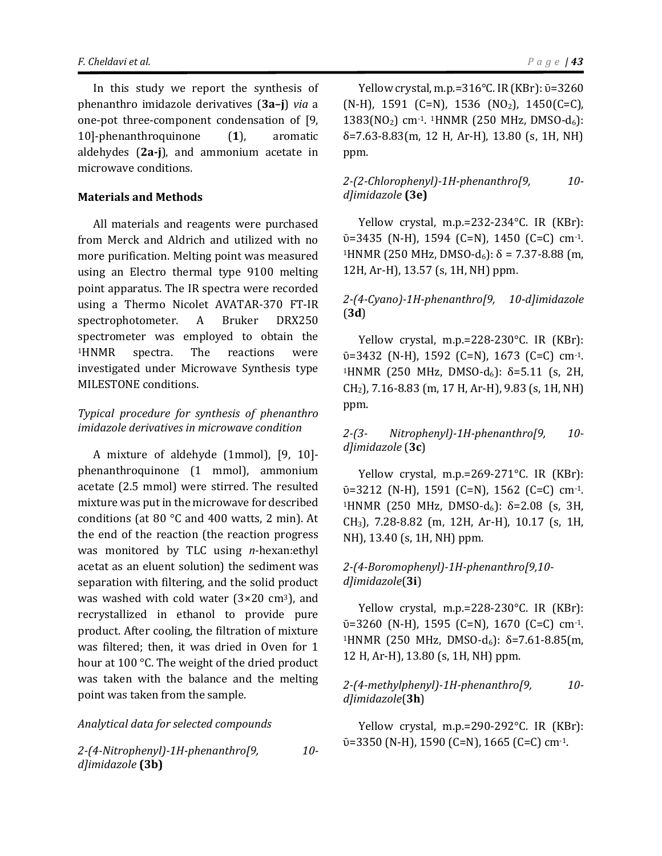In this study we report the synthesis of phenanthro imidazole derivatives (**3a–j**) *via* a one-pot three-component condensation of [9, 10]-phenanthroquinone (**1**), aromatic aldehydes (**2a-j**), and ammonium acetate in microwave conditions.

#### **Materials and Methods**

All materials and reagents were purchased from Merck and Aldrich and utilized with no more purification. Melting point was measured using an Electro thermal type 9100 melting point apparatus. The IR spectra were recorded using a Thermo Nicolet AVATAR-370 FT-IR spectrophotometer. A Bruker DRX250 spectrometer was employed to obtain the <sup>1</sup>HNMR spectra. The reactions were investigated under Microwave Synthesis type MILESTONE conditions.

# *Typical procedure for synthesis of phenanthro imidazole derivatives in microwave condition*

A mixture of aldehyde (1mmol), [9, 10] phenanthroquinone (1 mmol), ammonium acetate (2.5 mmol) were stirred. The resulted mixture was put in the microwave for described conditions (at 80 °C and 400 watts, 2 min). At the end of the reaction (the reaction progress was monitored by TLC using *n*-hexan:ethyl acetat as an eluent solution) the sediment was separation with filtering, and the solid product was washed with cold water  $(3\times20 \text{ cm}^3)$ , and recrystallized in ethanol to provide pure product. After cooling, the filtration of mixture was filtered; then, it was dried in Oven for 1 hour at 100 °C. The weight of the dried product was taken with the balance and the melting point was taken from the sample.

#### *Analytical data for selected compounds*

*2-(4-Nitrophenyl)-1H-phenanthro[9, 10 d]imidazole* **(3b)**

Yellow crystal, m.p.= $316^{\circ}$ C. IR (KBr):  $\bar{v}$ =3260  $(N-H)$ , 1591 (C=N), 1536 (NO<sub>2</sub>), 1450(C=C),  $1383(NO<sub>2</sub>)$  cm<sup>-1</sup>. <sup>1</sup>HNMR (250 MHz, DMSO-d<sub>6</sub>): δ=7.63-8.83(m, 12 H, Ar-H), 13.80 (s, 1H, NH) ppm.

### *2-(2-Chlorophenyl)-1H-phenanthro[9, 10 d]imidazole* **(3e)**

Yellow crystal, m.p.=232-234°C. IR (KBr):  $\bar{v}$ =3435 (N-H), 1594 (C=N), 1450 (C=C) cm<sup>-1</sup>. <sup>1</sup>HNMR (250 MHz, DMSO-d<sub>6</sub>): δ = 7.37-8.88 (m, 12H, Ar-H), 13.57 (s, 1H, NH) ppm.

# *2-(4-Cyano)-1H-phenanthro[9, 10-d]imidazole* (**3d**)

Yellow crystal, m.p.=228-230°C. IR (KBr):  $\bar{v}$ =3432 (N-H), 1592 (C=N), 1673 (C=C) cm<sup>-1</sup>. <sup>1</sup>HNMR (250 MHz, DMSO-d<sub>6</sub>): δ=5.11 (s, 2H, CH2), 7.16-8.83 (m, 17 H, Ar-H), 9.83 (s, 1H, NH) ppm.

*2-(3- Nitrophenyl)-1H-phenanthro[9, 10 d]imidazole* (**3c**)

Yellow crystal, m.p.=269-271°C. IR (KBr):  $\bar{v}$ =3212 (N-H), 1591 (C=N), 1562 (C=C) cm<sup>-1</sup>. <sup>1</sup>HNMR (250 MHz, DMSO-d<sub>6</sub>): δ=2.08 (s, 3H, CH3), 7.28-8.82 (m, 12H, Ar-H), 10.17 (s, 1H, NH), 13.40 (s, 1H, NH) ppm.

## *2-(4-Boromophenyl)-1H-phenanthro[9,10 d]imidazole*(**3i**)

Yellow crystal, m.p.=228-230°C. IR (KBr):  $\bar{v}$ =3260 (N-H), 1595 (C=N), 1670 (C=C) cm<sup>-1</sup>. <sup>1</sup>HNMR (250 MHz, DMSO-d<sub>6</sub>): δ=7.61-8.85(m, 12 H, Ar-H), 13.80 (s, 1H, NH) ppm.

### *2-(4-methylphenyl)-1H-phenanthro[9, 10 d]imidazole*(**3h**)

Yellow crystal, m.p.=290-292°C. IR (KBr):  $\bar{v}$ =3350 (N-H), 1590 (C=N), 1665 (C=C) cm<sup>-1</sup>.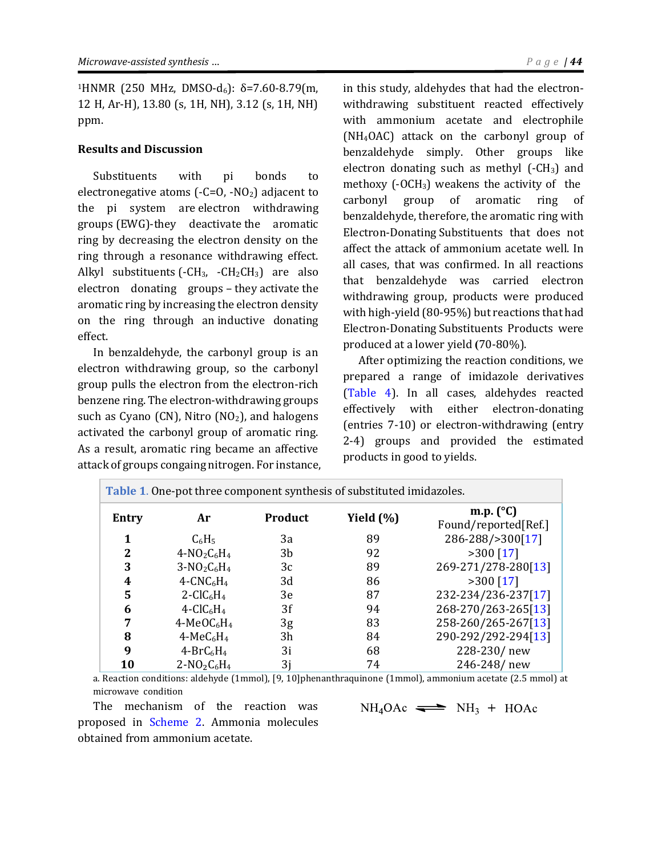<sup>1</sup>HNMR (250 MHz, DMSO-d<sub>6</sub>): δ=7.60-8.79(m, 12 H, Ar-H), 13.80 (s, 1H, NH), 3.12 (s, 1H, NH) ppm.

#### **Results and Discussion**

Substituents with pi bonds to electronegative atoms  $(-C=0, -NO<sub>2</sub>)$  adjacent to the pi system are electron withdrawing groups (EWG)-they deactivate the aromatic ring by decreasing the electron density on the ring through a resonance withdrawing effect. Alkyl substituents  $(-CH_3, -CH_2CH_3)$  are also electron donating groups – they activate the aromatic ring by increasing the electron density on the ring through an inductive donating effect.

In benzaldehyde, the carbonyl group is an electron withdrawing group, so the carbonyl group pulls the electron from the electron-rich benzene ring. The electron-withdrawing groups such as Cyano (CN), Nitro  $NO<sub>2</sub>$ ), and halogens activated the carbonyl group of aromatic ring. As a result, aromatic ring became an affective attack of groups congaing nitrogen. For instance, in this study, aldehydes that had the electronwithdrawing substituent reacted effectively with ammonium acetate and electrophile (NH4OAC) attack on the carbonyl group of benzaldehyde simply. Other groups like electron donating such as methyl  $(-CH<sub>3</sub>)$  and methoxy  $(-OCH<sub>3</sub>)$  weakens the activity of the carbonyl group of aromatic ring of benzaldehyde, therefore, the aromatic ring with Electron-Donating Substituents that does not affect the attack of ammonium acetate well. In all cases, that was confirmed. In all reactions that benzaldehyde was carried electron withdrawing group, products were produced with high-yield (80-95%) but reactions that had Electron-Donating Substituents Products were produced at a lower yield (70-80%).

After optimizing the reaction conditions, we prepared a range of imidazole derivatives [\(Table 4\)](#page-5-1). In all cases, aldehydes reacted effectively with either electron-donating (entries 7-10) or electron-withdrawing (entry 2-4) groups and provided the estimated products in good to yields.

| Table 1. One-pot three component synthesis of substituted imidazoles. |                                      |         |               |                                            |  |
|-----------------------------------------------------------------------|--------------------------------------|---------|---------------|--------------------------------------------|--|
| Entry                                                                 | Ar                                   | Product | Yield $(\% )$ | m.p. $(^{\circ}C)$<br>Found/reported[Ref.] |  |
| 1                                                                     | $C_6H_5$                             | 3a      | 89            | 286-288/>300[17]                           |  |
| 2                                                                     | $4-NO_2C_6H_4$                       | 3b      | 92            | $>300$ [17]                                |  |
| 3                                                                     | $3-NO_2C_6H_4$                       | 3c      | 89            | 269-271/278-280[13]                        |  |
| 4                                                                     | $4$ -CNC <sub>6</sub> H <sub>4</sub> | 3d      | 86            | $>300$ [17]                                |  |
| 5                                                                     | $2-CIC6H4$                           | 3e      | 87            | 232-234/236-237[17]                        |  |
| 6                                                                     | $4-CIC6H4$                           | 3f      | 94            | 268-270/263-265[13]                        |  |
| 7                                                                     | $4-MeOC6H4$                          | 3g      | 83            | 258-260/265-267[13]                        |  |
| 8                                                                     | $4-MeC6H4$                           | 3h      | 84            | 290-292/292-294[13]                        |  |
| 9                                                                     | $4-BrC_6H_4$                         | 3i      | 68            | 228-230/new                                |  |
| 10                                                                    | $2-NO_2C_6H_4$                       | 3j      | 74            | 246-248/new                                |  |

a. Reaction conditions: aldehyde (1mmol), [9, 10]phenanthraquinone (1mmol), ammonium acetate (2.5 mmol) at microwave condition

The mechanism of the reaction was proposed in [Scheme 2.](#page-4-0) Ammonia molecules obtained from ammonium acetate.

 $NH_4OAc \rightleftharpoons NH_3 + HOAc$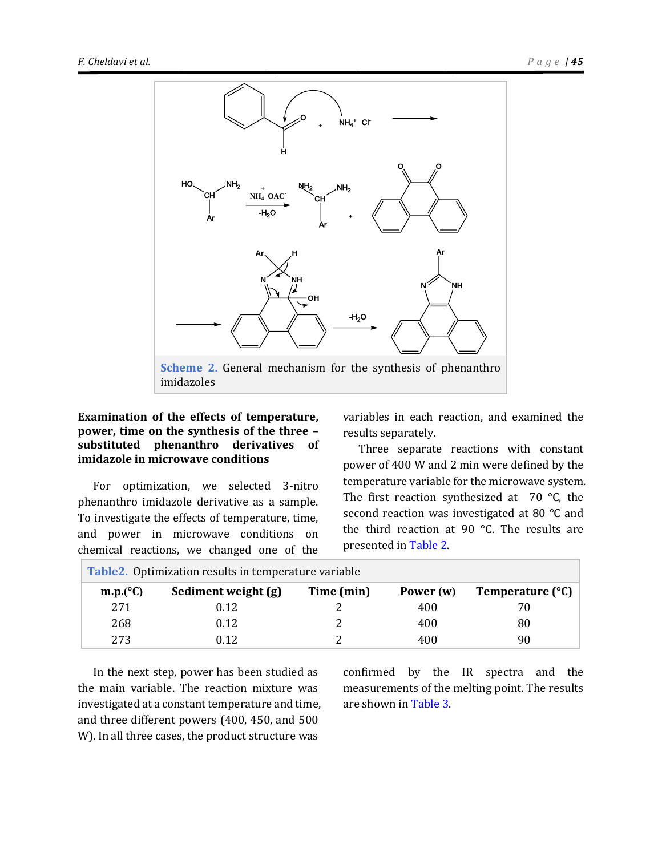

# <span id="page-4-0"></span>**Examination of the effects of temperature, power, time on the synthesis of the three – substituted phenanthro derivatives of imidazole in microwave conditions**

For optimization, we selected 3-nitro phenanthro imidazole derivative as a sample. To investigate the effects of temperature, time, and power in microwave conditions on chemical reactions, we changed one of the variables in each reaction, and examined the results separately.

Three separate reactions with constant power of 400 W and 2 min were defined by the temperature variable for the microwave system. The first reaction synthesized at  $70^{\circ}$ C, the second reaction was investigated at 80 °C and the third reaction at 90 °C. The results are presented in [Table 2.](#page-4-1)

<span id="page-4-1"></span>

| <b>Table2.</b> Optimization results in temperature variable |                     |            |           |                  |  |
|-------------------------------------------------------------|---------------------|------------|-----------|------------------|--|
| m.p. (°C)                                                   | Sediment weight (g) | Time (min) | Power (w) | Temperature (°C) |  |
| 271                                                         | 0.12                |            | 400       | 70               |  |
| 268                                                         | 0.12                |            | 400       | 80               |  |
| 273                                                         | 0.12                |            | 400       | 90               |  |

In the next step, power has been studied as the main variable. The reaction mixture was investigated at a constant temperature and time, and three different powers (400, 450, and 500 W). In all three cases, the product structure was

confirmed by the IR spectra and the measurements of the melting point. The results are shown i[n Table 3.](#page-5-2)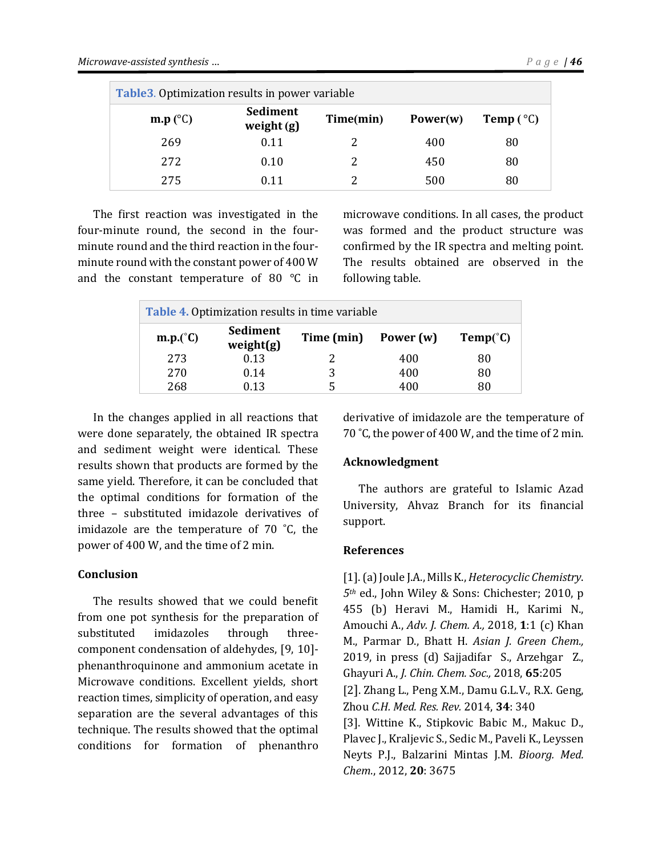<span id="page-5-2"></span>

| Table 3. Optimization results in power variable |                          |           |             |                    |  |
|-------------------------------------------------|--------------------------|-----------|-------------|--------------------|--|
| $\mathbf{m}.\mathbf{p}$ (°C)                    | Sediment<br>weight $(g)$ | Time(min) | Power $(w)$ | Temp $(^{\circ}C)$ |  |
| 269                                             | 0.11                     | 2         | 400         | 80                 |  |
| 272                                             | 0.10                     |           | 450         | 80                 |  |
| 275                                             | 0.11                     |           | 500         | 80                 |  |

The first reaction was investigated in the four-minute round, the second in the fourminute round and the third reaction in the fourminute round with the constant power of 400 W and the constant temperature of 80 °C in

microwave conditions. In all cases, the product was formed and the product structure was confirmed by the IR spectra and melting point. The results obtained are observed in the following table.

<span id="page-5-1"></span>

| <b>Table 4. Optimization results in time variable</b> |                       |            |             |                   |  |
|-------------------------------------------------------|-----------------------|------------|-------------|-------------------|--|
| $\mathbf{m}.\mathbf{p}$ .(°C)                         | Sediment<br>weight(g) | Time (min) | Power $(w)$ | $Temp(^{\circ}C)$ |  |
| 273                                                   | 0.13                  |            | 400         | 80                |  |
| 270                                                   | 0.14                  | 3          | 400         | 80                |  |
| 268                                                   | 0.13                  |            | 400         | 80                |  |

In the changes applied in all reactions that were done separately, the obtained IR spectra and sediment weight were identical. These results shown that products are formed by the same yield. Therefore, it can be concluded that the optimal conditions for formation of the three – substituted imidazole derivatives of imidazole are the temperature of 70 ˚C, the power of 400 W, and the time of 2 min.

#### **Conclusion**

The results showed that we could benefit from one pot synthesis for the preparation of substituted imidazoles through threecomponent condensation of aldehydes, [9, 10] phenanthroquinone and ammonium acetate in Microwave conditions. Excellent yields, short reaction times, simplicity of operation, and easy separation are the several advantages of this technique. The results showed that the optimal conditions for formation of phenanthro derivative of imidazole are the temperature of 70 °C, the power of 400 W, and the time of 2 min.

#### **Acknowledgment**

The authors are grateful to Islamic Azad University, Ahvaz Branch for its financial support.

#### **References**

<span id="page-5-0"></span>[1]. (a) Joule J.A., Mills K., *Heterocyclic Chemistry*. *5th* ed., John Wiley & Sons: Chichester; 2010, p 455 (b) Heravi M., Hamidi H., Karimi N., Amouchi A., *Adv. J. Chem. A.,* 2018, **1**:1 (c) Khan M., Parmar D., Bhatt H. *Asian J. Green Chem.,* 2019, in press (d) Sajjadifar S., Arzehgar Z., Ghayuri A., *J. Chin. Chem. Soc.,* 2018, **65**:205 [2]. Zhang L., Peng X.M., Damu G.L.V., R.X. Geng, Zhou *C.H. Med. Res. Rev.* 2014, **34**: 340 [3]. Wittine K., Stipkovic Babic M., Makuc D., Plavec J., Kraljevic S., Sedic M., Paveli K., Leyssen Neyts P.J., Balzarini Mintas J.M. *Bioorg. Med. Chem*., 2012, **20**: 3675